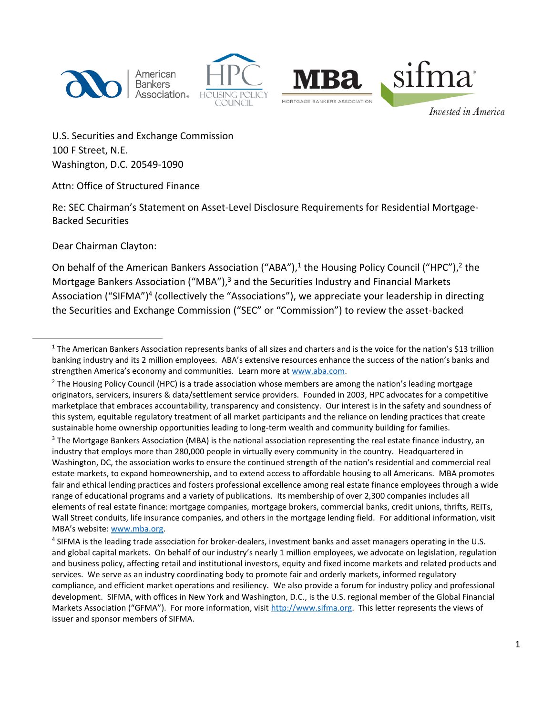

American **Bankers** Association.





Invested in America

U.S. Securities and Exchange Commission 100 F Street, N.E. Washington, D.C. 20549-1090

Attn: Office of Structured Finance

Re: SEC Chairman's Statement on Asset-Level Disclosure Requirements for Residential Mortgage-Backed Securities

Dear Chairman Clayton:

 $\overline{\phantom{a}}$ 

On behalf of the American Bankers Association ("ABA"),<sup>1</sup> the Housing Policy Council ("HPC"),<sup>2</sup> the Mortgage Bankers Association ("MBA"),<sup>3</sup> and the Securities Industry and Financial Markets Association ("SIFMA")<sup>4</sup> (collectively the "Associations"), we appreciate your leadership in directing the Securities and Exchange Commission ("SEC" or "Commission") to review the asset-backed

<sup>&</sup>lt;sup>1</sup> The American Bankers Association represents banks of all sizes and charters and is the voice for the nation's \$13 trillion banking industry and its 2 million employees. ABA's extensive resources enhance the success of the nation's banks and strengthen America's economy and communities. Learn more at [www.aba.com.](http://www.aba.com/)

<sup>&</sup>lt;sup>2</sup> The Housing Policy Council (HPC) is a trade association whose members are among the nation's leading mortgage originators, servicers, insurers & data/settlement service providers. Founded in 2003, HPC advocates for a competitive marketplace that embraces accountability, transparency and consistency. Our interest is in the safety and soundness of this system, equitable regulatory treatment of all market participants and the reliance on lending practices that create sustainable home ownership opportunities leading to long-term wealth and community building for families.

<sup>&</sup>lt;sup>3</sup> The Mortgage Bankers Association (MBA) is the national association representing the real estate finance industry, an industry that employs more than 280,000 people in virtually every community in the country. Headquartered in Washington, DC, the association works to ensure the continued strength of the nation's residential and commercial real estate markets, to expand homeownership, and to extend access to affordable housing to all Americans. MBA promotes fair and ethical lending practices and fosters professional excellence among real estate finance employees through a wide range of educational programs and a variety of publications. Its membership of over 2,300 companies includes all elements of real estate finance: mortgage companies, mortgage brokers, commercial banks, credit unions, thrifts, REITs, Wall Street conduits, life insurance companies, and others in the mortgage lending field. For additional information, visit MBA's website: [www.mba.org.](http://www.mba.org/)

<sup>&</sup>lt;sup>4</sup> SIFMA is the leading trade association for broker-dealers, investment banks and asset managers operating in the U.S. and global capital markets. On behalf of our industry's nearly 1 million employees, we advocate on legislation, regulation and business policy, affecting retail and institutional investors, equity and fixed income markets and related products and services. We serve as an industry coordinating body to promote fair and orderly markets, informed regulatory compliance, and efficient market operations and resiliency. We also provide a forum for industry policy and professional development. SIFMA, with offices in New York and Washington, D.C., is the U.S. regional member of the Global Financial Markets Association ("GFMA"). For more information, visit [http://www.sifma.org.](http://www.sifma.org/) This letter represents the views of issuer and sponsor members of SIFMA.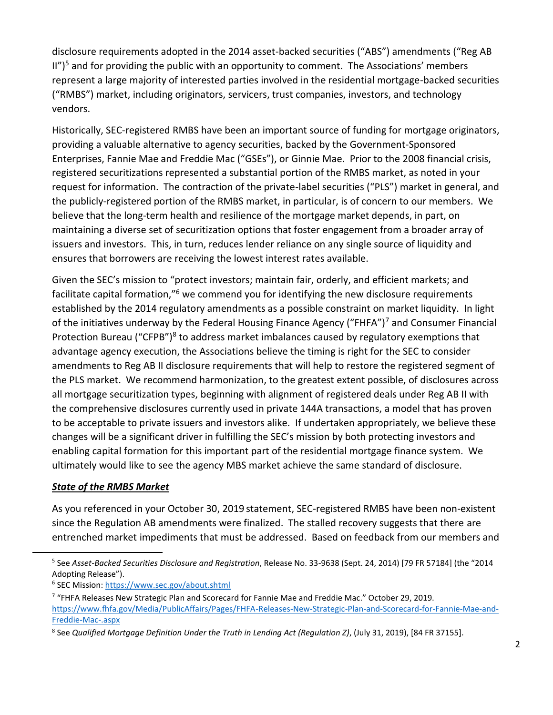disclosure requirements adopted in the 2014 asset-backed securities ("ABS") amendments ("Reg AB  $I''$ <sup>5</sup> and for providing the public with an opportunity to comment. The Associations' members represent a large majority of interested parties involved in the residential mortgage-backed securities ("RMBS") market, including originators, servicers, trust companies, investors, and technology vendors.

Historically, SEC-registered RMBS have been an important source of funding for mortgage originators, providing a valuable alternative to agency securities, backed by the Government-Sponsored Enterprises, Fannie Mae and Freddie Mac ("GSEs"), or Ginnie Mae. Prior to the 2008 financial crisis, registered securitizations represented a substantial portion of the RMBS market, as noted in your request for information. The contraction of the private-label securities ("PLS") market in general, and the publicly-registered portion of the RMBS market, in particular, is of concern to our members. We believe that the long-term health and resilience of the mortgage market depends, in part, on maintaining a diverse set of securitization options that foster engagement from a broader array of issuers and investors. This, in turn, reduces lender reliance on any single source of liquidity and ensures that borrowers are receiving the lowest interest rates available.

Given the SEC's mission to "protect investors; maintain fair, orderly, and efficient markets; and facilitate capital formation,"<sup>6</sup> we commend you for identifying the new disclosure requirements established by the 2014 regulatory amendments as a possible constraint on market liquidity. In light of the initiatives underway by the Federal Housing Finance Agency ("FHFA")<sup>7</sup> and Consumer Financial Protection Bureau ("CFPB")<sup>8</sup> to address market imbalances caused by regulatory exemptions that advantage agency execution, the Associations believe the timing is right for the SEC to consider amendments to Reg AB II disclosure requirements that will help to restore the registered segment of the PLS market. We recommend harmonization, to the greatest extent possible, of disclosures across all mortgage securitization types, beginning with alignment of registered deals under Reg AB II with the comprehensive disclosures currently used in private 144A transactions, a model that has proven to be acceptable to private issuers and investors alike. If undertaken appropriately, we believe these changes will be a significant driver in fulfilling the SEC's mission by both protecting investors and enabling capital formation for this important part of the residential mortgage finance system. We ultimately would like to see the agency MBS market achieve the same standard of disclosure.

# *State of the RMBS Market*

l

As you referenced in your October 30, 2019 statement, SEC-registered RMBS have been non-existent since the Regulation AB amendments were finalized. The stalled recovery suggests that there are entrenched market impediments that must be addressed. Based on feedback from our members and

<sup>5</sup> See *Asset-Backed Securities Disclosure and Registration*, Release No. 33-9638 (Sept. 24, 2014) [79 FR 57184] (the "2014 Adopting Release").

<sup>&</sup>lt;sup>6</sup> SEC Mission[: https://www.sec.gov/about.shtml](https://www.sec.gov/about.shtml)

 $7$  "FHFA Releases New Strategic Plan and Scorecard for Fannie Mae and Freddie Mac." October 29, 2019. [https://www.fhfa.gov/Media/PublicAffairs/Pages/FHFA-Releases-New-Strategic-Plan-and-Scorecard-for-Fannie-Mae-and-](https://www.fhfa.gov/Media/PublicAffairs/Pages/FHFA-Releases-New-Strategic-Plan-and-Scorecard-for-Fannie-Mae-and-Freddie-Mac-.aspx)[Freddie-Mac-.aspx](https://www.fhfa.gov/Media/PublicAffairs/Pages/FHFA-Releases-New-Strategic-Plan-and-Scorecard-for-Fannie-Mae-and-Freddie-Mac-.aspx)

<sup>8</sup> See *Qualified Mortgage Definition Under the Truth in Lending Act (Regulation Z)*, (July 31, 2019), [84 FR 37155].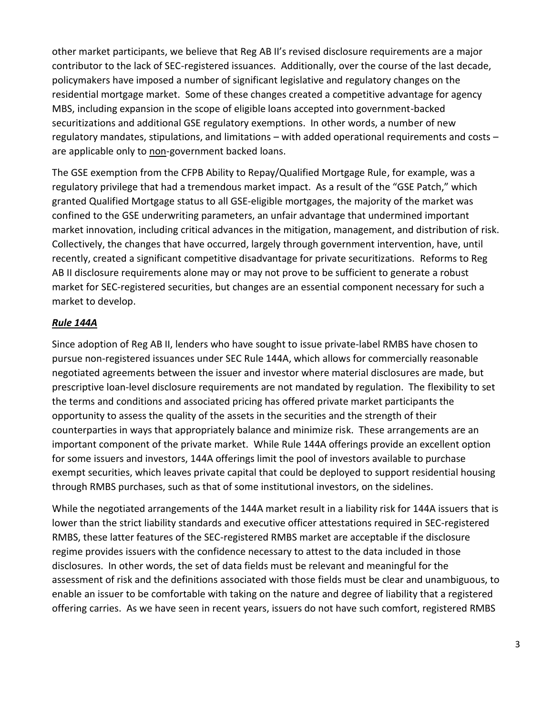other market participants, we believe that Reg AB II's revised disclosure requirements are a major contributor to the lack of SEC-registered issuances. Additionally, over the course of the last decade, policymakers have imposed a number of significant legislative and regulatory changes on the residential mortgage market. Some of these changes created a competitive advantage for agency MBS, including expansion in the scope of eligible loans accepted into government-backed securitizations and additional GSE regulatory exemptions. In other words, a number of new regulatory mandates, stipulations, and limitations – with added operational requirements and costs – are applicable only to non-government backed loans.

The GSE exemption from the CFPB Ability to Repay/Qualified Mortgage Rule, for example, was a regulatory privilege that had a tremendous market impact. As a result of the "GSE Patch," which granted Qualified Mortgage status to all GSE-eligible mortgages, the majority of the market was confined to the GSE underwriting parameters, an unfair advantage that undermined important market innovation, including critical advances in the mitigation, management, and distribution of risk. Collectively, the changes that have occurred, largely through government intervention, have, until recently, created a significant competitive disadvantage for private securitizations. Reforms to Reg AB II disclosure requirements alone may or may not prove to be sufficient to generate a robust market for SEC-registered securities, but changes are an essential component necessary for such a market to develop.

# *Rule 144A*

Since adoption of Reg AB II, lenders who have sought to issue private-label RMBS have chosen to pursue non-registered issuances under SEC Rule 144A, which allows for commercially reasonable negotiated agreements between the issuer and investor where material disclosures are made, but prescriptive loan-level disclosure requirements are not mandated by regulation. The flexibility to set the terms and conditions and associated pricing has offered private market participants the opportunity to assess the quality of the assets in the securities and the strength of their counterparties in ways that appropriately balance and minimize risk. These arrangements are an important component of the private market. While Rule 144A offerings provide an excellent option for some issuers and investors, 144A offerings limit the pool of investors available to purchase exempt securities, which leaves private capital that could be deployed to support residential housing through RMBS purchases, such as that of some institutional investors, on the sidelines.

While the negotiated arrangements of the 144A market result in a liability risk for 144A issuers that is lower than the strict liability standards and executive officer attestations required in SEC-registered RMBS, these latter features of the SEC-registered RMBS market are acceptable if the disclosure regime provides issuers with the confidence necessary to attest to the data included in those disclosures. In other words, the set of data fields must be relevant and meaningful for the assessment of risk and the definitions associated with those fields must be clear and unambiguous, to enable an issuer to be comfortable with taking on the nature and degree of liability that a registered offering carries. As we have seen in recent years, issuers do not have such comfort, registered RMBS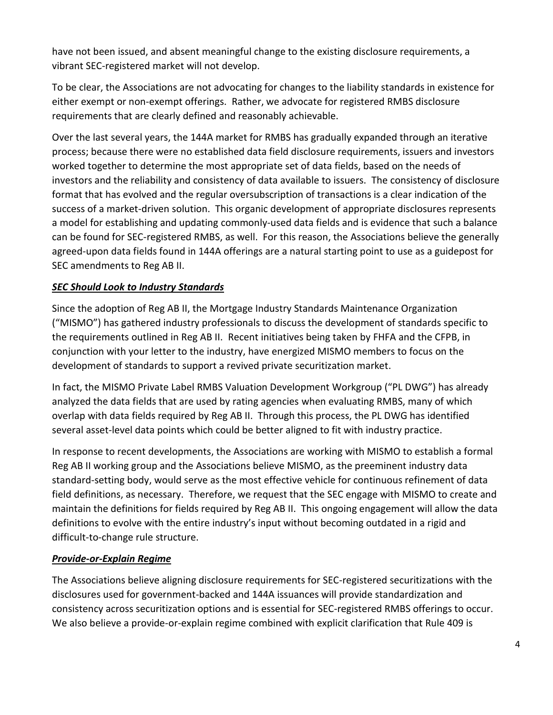have not been issued, and absent meaningful change to the existing disclosure requirements, a vibrant SEC-registered market will not develop.

To be clear, the Associations are not advocating for changes to the liability standards in existence for either exempt or non-exempt offerings. Rather, we advocate for registered RMBS disclosure requirements that are clearly defined and reasonably achievable.

Over the last several years, the 144A market for RMBS has gradually expanded through an iterative process; because there were no established data field disclosure requirements, issuers and investors worked together to determine the most appropriate set of data fields, based on the needs of investors and the reliability and consistency of data available to issuers. The consistency of disclosure format that has evolved and the regular oversubscription of transactions is a clear indication of the success of a market-driven solution. This organic development of appropriate disclosures represents a model for establishing and updating commonly-used data fields and is evidence that such a balance can be found for SEC-registered RMBS, as well. For this reason, the Associations believe the generally agreed-upon data fields found in 144A offerings are a natural starting point to use as a guidepost for SEC amendments to Reg AB II.

# *SEC Should Look to Industry Standards*

Since the adoption of Reg AB II, the Mortgage Industry Standards Maintenance Organization ("MISMO") has gathered industry professionals to discuss the development of standards specific to the requirements outlined in Reg AB II. Recent initiatives being taken by FHFA and the CFPB, in conjunction with your letter to the industry, have energized MISMO members to focus on the development of standards to support a revived private securitization market.

In fact, the MISMO Private Label RMBS Valuation Development Workgroup ("PL DWG") has already analyzed the data fields that are used by rating agencies when evaluating RMBS, many of which overlap with data fields required by Reg AB II. Through this process, the PL DWG has identified several asset-level data points which could be better aligned to fit with industry practice.

In response to recent developments, the Associations are working with MISMO to establish a formal Reg AB II working group and the Associations believe MISMO, as the preeminent industry data standard-setting body, would serve as the most effective vehicle for continuous refinement of data field definitions, as necessary. Therefore, we request that the SEC engage with MISMO to create and maintain the definitions for fields required by Reg AB II. This ongoing engagement will allow the data definitions to evolve with the entire industry's input without becoming outdated in a rigid and difficult-to-change rule structure.

# *Provide-or-Explain Regime*

The Associations believe aligning disclosure requirements for SEC-registered securitizations with the disclosures used for government-backed and 144A issuances will provide standardization and consistency across securitization options and is essential for SEC-registered RMBS offerings to occur. We also believe a provide-or-explain regime combined with explicit clarification that Rule 409 is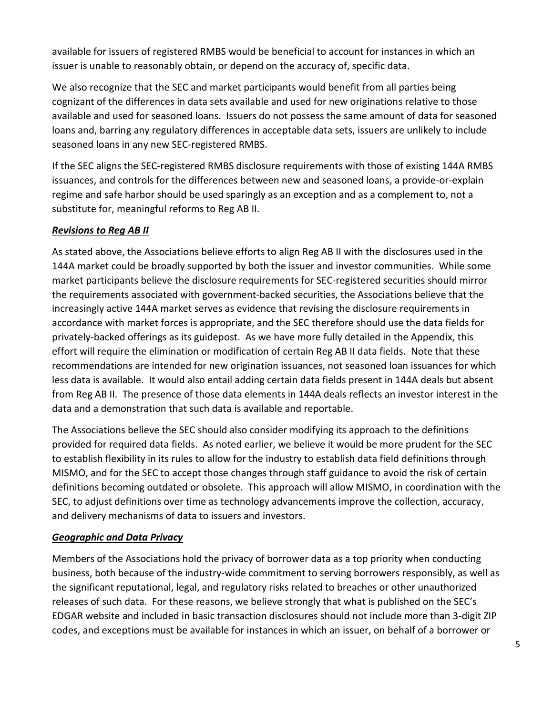available for issuers of registered RMBS would be beneficial to account for instances in which an issuer is unable to reasonably obtain, or depend on the accuracy of, specific data.

We also recognize that the SEC and market participants would benefit from all parties being cognizant of the differences in data sets available and used for new originations relative to those available and used for seasoned loans. Issuers do not possess the same amount of data for seasoned loans and, barring any regulatory differences in acceptable data sets, issuers are unlikely to include seasoned loans in any new SEC-registered RMBS.

If the SEC aligns the SEC-registered RMBS disclosure requirements with those of existing 144A RMBS issuances, and controls for the differences between new and seasoned loans, a provide-or-explain regime and safe harbor should be used sparingly as an exception and as a complement to, not a substitute for, meaningful reforms to Reg AB II.

# *Revisions to Reg AB II*

As stated above, the Associations believe efforts to align Reg AB II with the disclosures used in the 144A market could be broadly supported by both the issuer and investor communities. While some market participants believe the disclosure requirements for SEC-registered securities should mirror the requirements associated with government-backed securities, the Associations believe that the increasingly active 144A market serves as evidence that revising the disclosure requirements in accordance with market forces is appropriate, and the SEC therefore should use the data fields for privately-backed offerings as its guidepost. As we have more fully detailed in the Appendix, this effort will require the elimination or modification of certain Reg AB II data fields. Note that these recommendations are intended for new origination issuances, not seasoned loan issuances for which less data is available. It would also entail adding certain data fields present in 144A deals but absent from Reg AB II. The presence of those data elements in 144A deals reflects an investor interest in the data and a demonstration that such data is available and reportable.

The Associations believe the SEC should also consider modifying its approach to the definitions provided for required data fields. As noted earlier, we believe it would be more prudent for the SEC to establish flexibility in its rules to allow for the industry to establish data field definitions through MISMO, and for the SEC to accept those changes through staff guidance to avoid the risk of certain definitions becoming outdated or obsolete. This approach will allow MISMO, in coordination with the SEC, to adjust definitions over time as technology advancements improve the collection, accuracy, and delivery mechanisms of data to issuers and investors.

### *Geographic and Data Privacy*

Members of the Associations hold the privacy of borrower data as a top priority when conducting business, both because of the industry-wide commitment to serving borrowers responsibly, as well as the significant reputational, legal, and regulatory risks related to breaches or other unauthorized releases of such data. For these reasons, we believe strongly that what is published on the SEC's EDGAR website and included in basic transaction disclosures should not include more than 3-digit ZIP codes, and exceptions must be available for instances in which an issuer, on behalf of a borrower or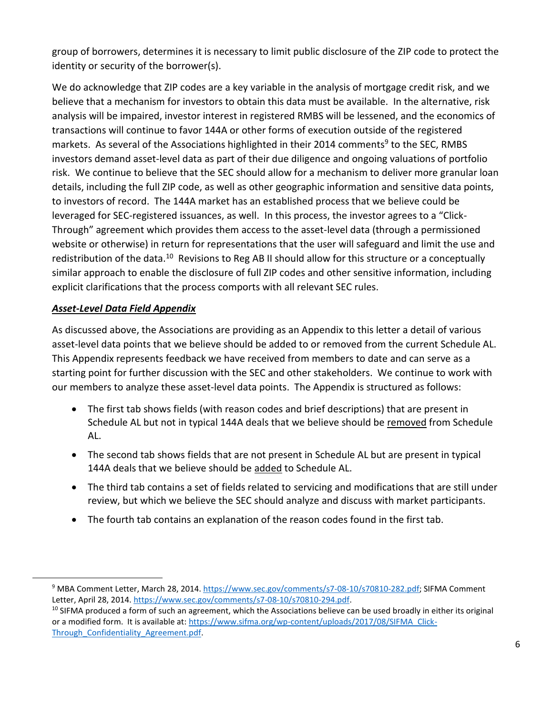group of borrowers, determines it is necessary to limit public disclosure of the ZIP code to protect the identity or security of the borrower(s).

We do acknowledge that ZIP codes are a key variable in the analysis of mortgage credit risk, and we believe that a mechanism for investors to obtain this data must be available. In the alternative, risk analysis will be impaired, investor interest in registered RMBS will be lessened, and the economics of transactions will continue to favor 144A or other forms of execution outside of the registered markets. As several of the Associations highlighted in their 2014 comments<sup>9</sup> to the SEC, RMBS investors demand asset-level data as part of their due diligence and ongoing valuations of portfolio risk. We continue to believe that the SEC should allow for a mechanism to deliver more granular loan details, including the full ZIP code, as well as other geographic information and sensitive data points, to investors of record. The 144A market has an established process that we believe could be leveraged for SEC-registered issuances, as well. In this process, the investor agrees to a "Click-Through" agreement which provides them access to the asset-level data (through a permissioned website or otherwise) in return for representations that the user will safeguard and limit the use and redistribution of the data.<sup>10</sup> Revisions to Reg AB II should allow for this structure or a conceptually similar approach to enable the disclosure of full ZIP codes and other sensitive information, including explicit clarifications that the process comports with all relevant SEC rules.

# *Asset-Level Data Field Appendix*

 $\overline{a}$ 

As discussed above, the Associations are providing as an Appendix to this letter a detail of various asset-level data points that we believe should be added to or removed from the current Schedule AL. This Appendix represents feedback we have received from members to date and can serve as a starting point for further discussion with the SEC and other stakeholders. We continue to work with our members to analyze these asset-level data points. The Appendix is structured as follows:

- The first tab shows fields (with reason codes and brief descriptions) that are present in Schedule AL but not in typical 144A deals that we believe should be removed from Schedule AL.
- The second tab shows fields that are not present in Schedule AL but are present in typical 144A deals that we believe should be added to Schedule AL.
- The third tab contains a set of fields related to servicing and modifications that are still under review, but which we believe the SEC should analyze and discuss with market participants.
- The fourth tab contains an explanation of the reason codes found in the first tab.

<sup>&</sup>lt;sup>9</sup> MBA Comment Letter, March 28, 2014. [https://www.sec.gov/comments/s7-08-10/s70810-282.pdf;](https://www.sec.gov/comments/s7-08-10/s70810-282.pdf) SIFMA Comment Letter, April 28, 2014. [https://www.sec.gov/comments/s7-08-10/s70810-294.pdf.](https://www.sec.gov/comments/s7-08-10/s70810-294.pdf)

<sup>&</sup>lt;sup>10</sup> SIFMA produced a form of such an agreement, which the Associations believe can be used broadly in either its original or a modified form. It is available at: [https://www.sifma.org/wp-content/uploads/2017/08/SIFMA\\_Click-](https://www.sifma.org/wp-content/uploads/2017/08/SIFMA_Click-Through_Confidentiality_Agreement.pdf)Through Confidentiality Agreement.pdf.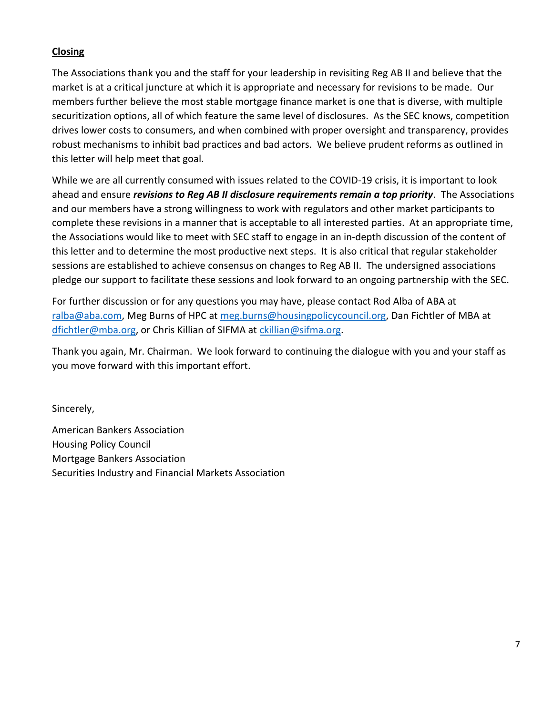# **Closing**

The Associations thank you and the staff for your leadership in revisiting Reg AB II and believe that the market is at a critical juncture at which it is appropriate and necessary for revisions to be made. Our members further believe the most stable mortgage finance market is one that is diverse, with multiple securitization options, all of which feature the same level of disclosures. As the SEC knows, competition drives lower costs to consumers, and when combined with proper oversight and transparency, provides robust mechanisms to inhibit bad practices and bad actors. We believe prudent reforms as outlined in this letter will help meet that goal.

While we are all currently consumed with issues related to the COVID-19 crisis, it is important to look ahead and ensure *revisions to Reg AB II disclosure requirements remain a top priority*. The Associations and our members have a strong willingness to work with regulators and other market participants to complete these revisions in a manner that is acceptable to all interested parties. At an appropriate time, the Associations would like to meet with SEC staff to engage in an in-depth discussion of the content of this letter and to determine the most productive next steps. It is also critical that regular stakeholder sessions are established to achieve consensus on changes to Reg AB II. The undersigned associations pledge our support to facilitate these sessions and look forward to an ongoing partnership with the SEC.

For further discussion or for any questions you may have, please contact Rod Alba of ABA at [ralba@aba.com,](mailto:ralba@aba.com) Meg Burns of HPC at [meg.burns@housingpolicycouncil.org,](mailto:meg.burns@housingpolicycouncil.org) Dan Fichtler of MBA at [dfichtler@mba.org,](mailto:dfichtler@mba.org) or Chris Killian of SIFMA at [ckillian@sifma.org.](mailto:ckillian@sifma.org)

Thank you again, Mr. Chairman. We look forward to continuing the dialogue with you and your staff as you move forward with this important effort.

Sincerely,

American Bankers Association Housing Policy Council Mortgage Bankers Association Securities Industry and Financial Markets Association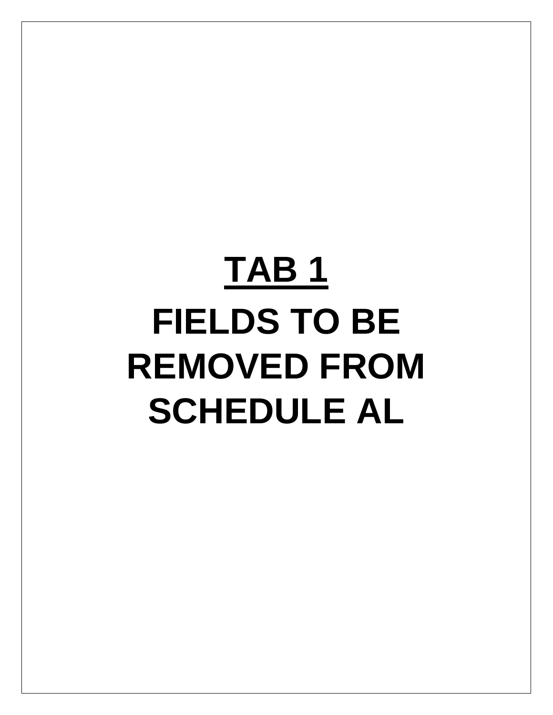# **TAB 1 FIELDS TO BE REMOVED FROM SCHEDULE AL**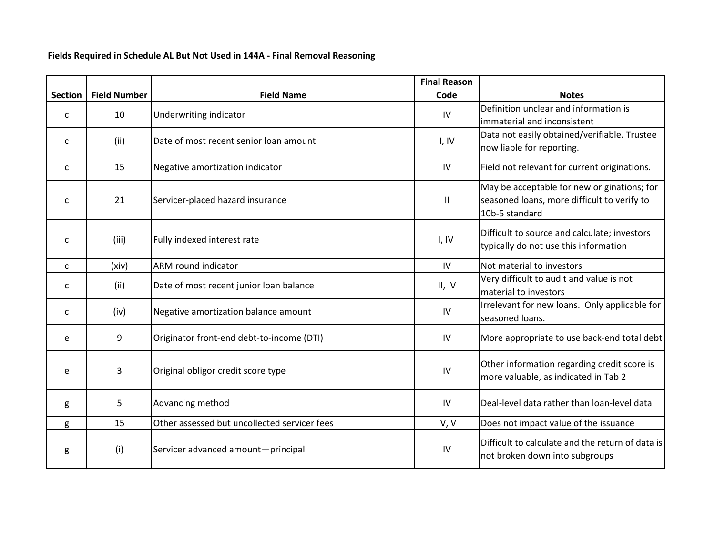### **Fields Required in Schedule AL But Not Used in 144A - Final Removal Reasoning**

|                |                     |                                              | <b>Final Reason</b> |                                                                                                              |
|----------------|---------------------|----------------------------------------------|---------------------|--------------------------------------------------------------------------------------------------------------|
| <b>Section</b> | <b>Field Number</b> | <b>Field Name</b>                            | Code                | <b>Notes</b>                                                                                                 |
| C              | 10                  | Underwriting indicator                       | IV                  | Definition unclear and information is<br>immaterial and inconsistent                                         |
| C              | (ii)                | Date of most recent senior loan amount       | I, IV               | Data not easily obtained/verifiable. Trustee<br>now liable for reporting.                                    |
| C              | 15                  | Negative amortization indicator              | IV                  | Field not relevant for current originations.                                                                 |
| C              | 21                  | Servicer-placed hazard insurance             | $\mathbf{II}$       | May be acceptable for new originations; for<br>seasoned loans, more difficult to verify to<br>10b-5 standard |
| C              | (iii)               | Fully indexed interest rate                  | I, IV               | Difficult to source and calculate; investors<br>typically do not use this information                        |
| C              | (xiv)               | ARM round indicator                          | IV                  | Not material to investors                                                                                    |
| C              | (ii)                | Date of most recent junior loan balance      | II, IV              | Very difficult to audit and value is not<br>material to investors                                            |
| $\mathsf{C}$   | (iv)                | Negative amortization balance amount         | IV                  | Irrelevant for new loans. Only applicable for<br>seasoned loans.                                             |
| e              | 9                   | Originator front-end debt-to-income (DTI)    | IV                  | More appropriate to use back-end total debt                                                                  |
| e              | 3                   | Original obligor credit score type           | IV                  | Other information regarding credit score is<br>more valuable, as indicated in Tab 2                          |
| g              | 5                   | Advancing method                             | IV                  | Deal-level data rather than loan-level data                                                                  |
| g              | 15                  | Other assessed but uncollected servicer fees | IV, V               | Does not impact value of the issuance                                                                        |
| g              | (i)                 | Servicer advanced amount-principal           | IV                  | Difficult to calculate and the return of data is<br>not broken down into subgroups                           |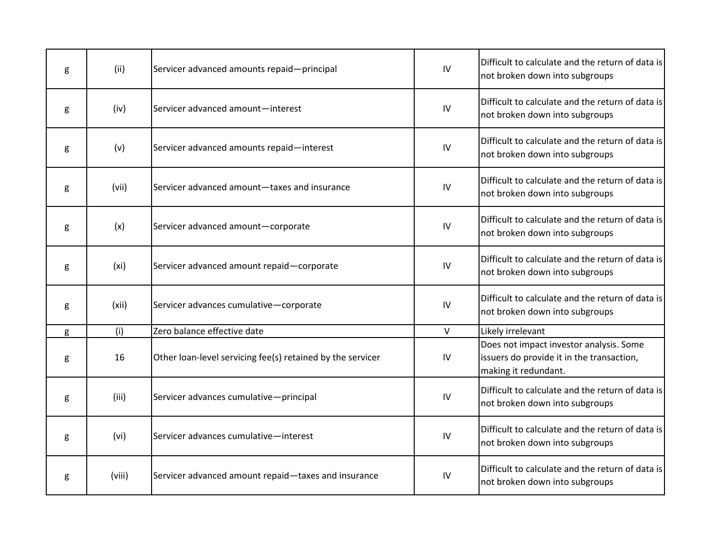| g | (ii)              | Servicer advanced amounts repaid-principal                 | IV     | Difficult to calculate and the return of data is<br>not broken down into subgroups                           |
|---|-------------------|------------------------------------------------------------|--------|--------------------------------------------------------------------------------------------------------------|
| g | (iv)              | Servicer advanced amount-interest                          | IV     | Difficult to calculate and the return of data is<br>not broken down into subgroups                           |
| g | (v)               | Servicer advanced amounts repaid-interest                  | IV     | Difficult to calculate and the return of data is<br>not broken down into subgroups                           |
| g | (vii)             | Servicer advanced amount-taxes and insurance               | IV     | Difficult to calculate and the return of data is<br>not broken down into subgroups                           |
| g | (x)               | Servicer advanced amount-corporate                         | IV     | Difficult to calculate and the return of data is<br>not broken down into subgroups                           |
| g | (x <sub>i</sub> ) | Servicer advanced amount repaid-corporate                  | IV     | Difficult to calculate and the return of data is<br>not broken down into subgroups                           |
| g | (xii)             | Servicer advances cumulative-corporate                     | IV     | Difficult to calculate and the return of data is<br>not broken down into subgroups                           |
| g | (i)               | Zero balance effective date                                | $\vee$ | Likely irrelevant                                                                                            |
| g | 16                | Other loan-level servicing fee(s) retained by the servicer | IV     | Does not impact investor analysis. Some<br>issuers do provide it in the transaction,<br>making it redundant. |
| g | (iii)             | Servicer advances cumulative-principal                     | IV     | Difficult to calculate and the return of data is<br>not broken down into subgroups                           |
| g | (vi)              | Servicer advances cumulative-interest                      | IV     | Difficult to calculate and the return of data is<br>not broken down into subgroups                           |
| g | (viii)            | Servicer advanced amount repaid-taxes and insurance        | IV     | Difficult to calculate and the return of data is<br>not broken down into subgroups                           |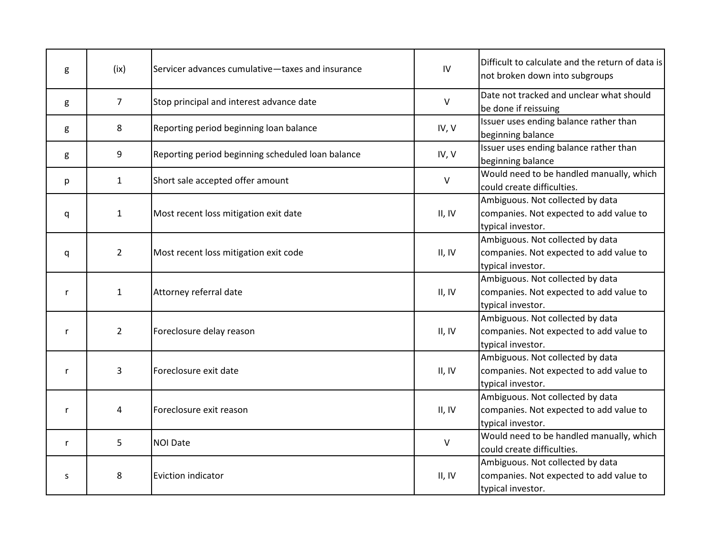| g            | (ix)           | Servicer advances cumulative-taxes and insurance  | IV     | Difficult to calculate and the return of data is<br>not broken down into subgroups               |
|--------------|----------------|---------------------------------------------------|--------|--------------------------------------------------------------------------------------------------|
| g            | $\overline{7}$ | Stop principal and interest advance date          | V      | Date not tracked and unclear what should<br>be done if reissuing                                 |
| g            | 8              | Reporting period beginning loan balance           | IV, V  | Issuer uses ending balance rather than<br>beginning balance                                      |
| g            | 9              | Reporting period beginning scheduled loan balance | IV, V  | Issuer uses ending balance rather than<br>beginning balance                                      |
| p            | $\mathbf{1}$   | Short sale accepted offer amount                  | V      | Would need to be handled manually, which<br>could create difficulties.                           |
| q            | $\mathbf{1}$   | Most recent loss mitigation exit date             | II, IV | Ambiguous. Not collected by data<br>companies. Not expected to add value to<br>typical investor. |
| q            | $\overline{2}$ | Most recent loss mitigation exit code             | II, IV | Ambiguous. Not collected by data<br>companies. Not expected to add value to<br>typical investor. |
| $\mathsf{r}$ | $\mathbf{1}$   | Attorney referral date                            | II, IV | Ambiguous. Not collected by data<br>companies. Not expected to add value to<br>typical investor. |
| $\mathsf{r}$ | $\overline{2}$ | Foreclosure delay reason                          | II, IV | Ambiguous. Not collected by data<br>companies. Not expected to add value to<br>typical investor. |
| r            | $\overline{3}$ | Foreclosure exit date                             | II, IV | Ambiguous. Not collected by data<br>companies. Not expected to add value to<br>typical investor. |
| r            | 4              | Foreclosure exit reason                           | II, IV | Ambiguous. Not collected by data<br>companies. Not expected to add value to<br>typical investor. |
| $\mathsf{r}$ | 5              | <b>NOI Date</b>                                   | V      | Would need to be handled manually, which<br>could create difficulties.                           |
| S            | 8              | Eviction indicator                                | II, IV | Ambiguous. Not collected by data<br>companies. Not expected to add value to<br>typical investor. |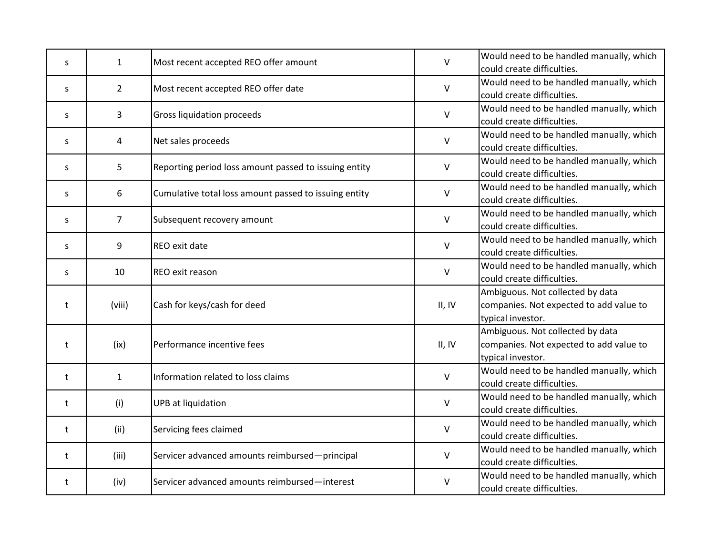| S  | $\mathbf{1}$   | Most recent accepted REO offer amount                 | V       | Would need to be handled manually, which<br>could create difficulties.                           |
|----|----------------|-------------------------------------------------------|---------|--------------------------------------------------------------------------------------------------|
| S  | $\overline{2}$ | Most recent accepted REO offer date                   | $\sf V$ | Would need to be handled manually, which<br>could create difficulties.                           |
| S  | 3              | Gross liquidation proceeds                            | $\vee$  | Would need to be handled manually, which<br>could create difficulties.                           |
| S  | 4              | Net sales proceeds                                    | $\vee$  | Would need to be handled manually, which<br>could create difficulties.                           |
| S. | 5              | Reporting period loss amount passed to issuing entity | $\vee$  | Would need to be handled manually, which<br>could create difficulties.                           |
| S  | 6              | Cumulative total loss amount passed to issuing entity | V       | Would need to be handled manually, which<br>could create difficulties.                           |
| S  | $\overline{7}$ | Subsequent recovery amount                            | V       | Would need to be handled manually, which<br>could create difficulties.                           |
| S  | 9              | REO exit date                                         | $\vee$  | Would need to be handled manually, which<br>could create difficulties.                           |
| S  | 10             | REO exit reason                                       | $\vee$  | Would need to be handled manually, which<br>could create difficulties.                           |
| t  | (viii)         | Cash for keys/cash for deed                           | II, IV  | Ambiguous. Not collected by data<br>companies. Not expected to add value to<br>typical investor. |
| t  | (ix)           | Performance incentive fees                            | II, IV  | Ambiguous. Not collected by data<br>companies. Not expected to add value to<br>typical investor. |
| t  | $\mathbf{1}$   | Information related to loss claims                    | $\sf V$ | Would need to be handled manually, which<br>could create difficulties.                           |
| t  | (i)            | <b>UPB</b> at liquidation                             | $\vee$  | Would need to be handled manually, which<br>could create difficulties.                           |
| t  | (ii)           | Servicing fees claimed                                | V       | Would need to be handled manually, which<br>could create difficulties.                           |
| t  | (iii)          | Servicer advanced amounts reimbursed-principal        | V       | Would need to be handled manually, which<br>could create difficulties.                           |
| t  | (iv)           | Servicer advanced amounts reimbursed-interest         | $\vee$  | Would need to be handled manually, which<br>could create difficulties.                           |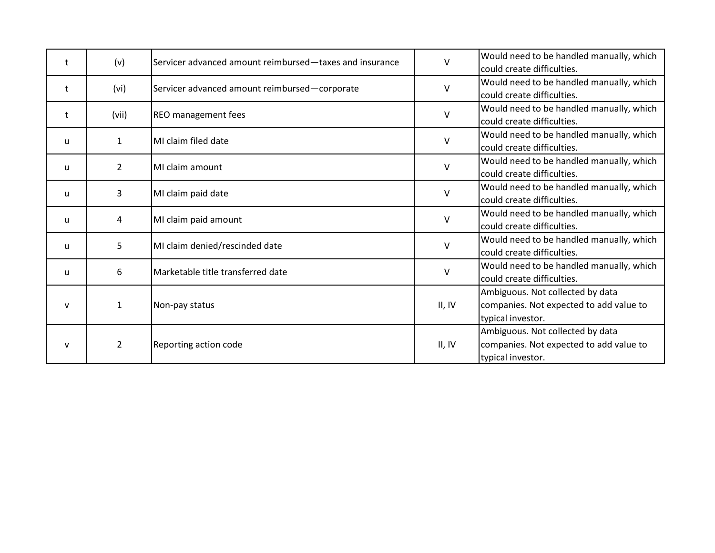| t            | (v)            | Servicer advanced amount reimbursed-taxes and insurance | $\vee$ | Would need to be handled manually, which<br>could create difficulties.                           |
|--------------|----------------|---------------------------------------------------------|--------|--------------------------------------------------------------------------------------------------|
| t            | (vi)           | Servicer advanced amount reimbursed-corporate           | $\vee$ | Would need to be handled manually, which<br>could create difficulties.                           |
| t            | (vii)          | <b>REO</b> management fees                              | $\vee$ | Would need to be handled manually, which<br>could create difficulties.                           |
| u            | $\mathbf{1}$   | MI claim filed date                                     | $\vee$ | Would need to be handled manually, which<br>could create difficulties.                           |
| u            | $\overline{2}$ | MI claim amount                                         | $\vee$ | Would need to be handled manually, which<br>could create difficulties.                           |
| u            | 3              | MI claim paid date                                      | $\vee$ | Would need to be handled manually, which<br>could create difficulties.                           |
| u            | 4              | MI claim paid amount                                    | V      | Would need to be handled manually, which<br>could create difficulties.                           |
| u            | 5              | MI claim denied/rescinded date                          | $\vee$ | Would need to be handled manually, which<br>could create difficulties.                           |
| u            | 6              | Marketable title transferred date                       | V      | Would need to be handled manually, which<br>could create difficulties.                           |
| $\mathsf{v}$ | $\mathbf{1}$   | Non-pay status                                          | II, IV | Ambiguous. Not collected by data<br>companies. Not expected to add value to<br>typical investor. |
| $\mathsf{v}$ | $\overline{2}$ | Reporting action code                                   | II, IV | Ambiguous. Not collected by data<br>companies. Not expected to add value to<br>typical investor. |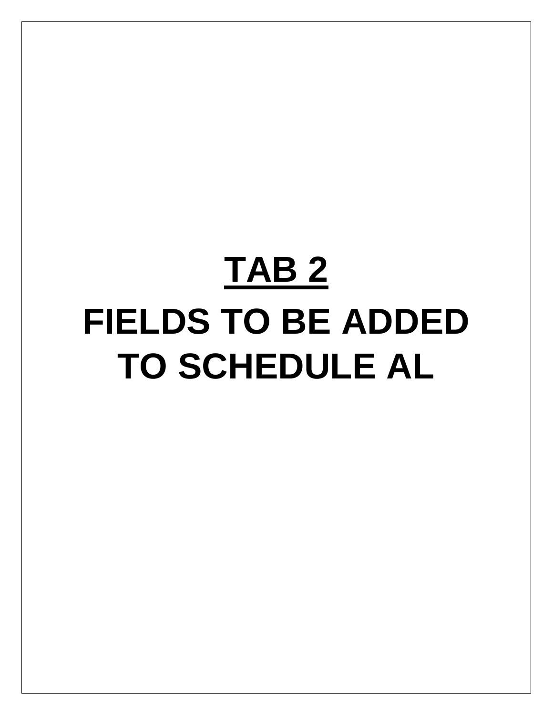# **TAB 2 FIELDS TO BE ADDED TO SCHEDULE AL**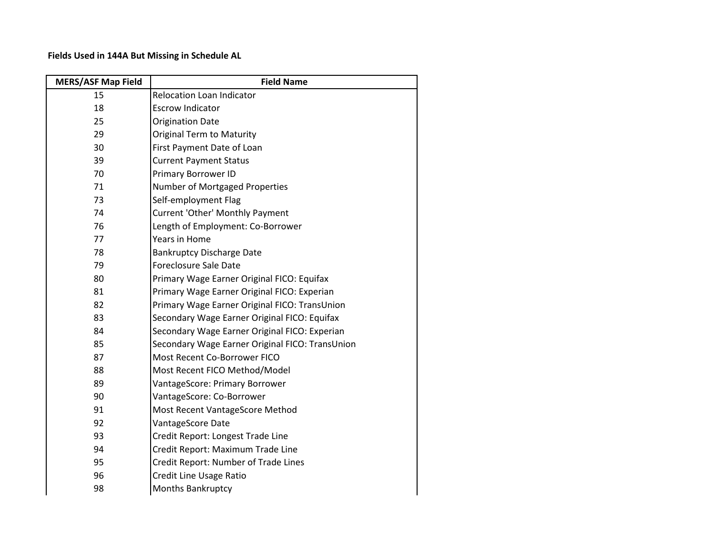### **Fields Used in 144A But Missing in Schedule AL**

| <b>MERS/ASF Map Field</b> | <b>Field Name</b>                               |
|---------------------------|-------------------------------------------------|
| 15                        | <b>Relocation Loan Indicator</b>                |
| 18                        | <b>Escrow Indicator</b>                         |
| 25                        | <b>Origination Date</b>                         |
| 29                        | <b>Original Term to Maturity</b>                |
| 30                        | First Payment Date of Loan                      |
| 39                        | <b>Current Payment Status</b>                   |
| 70                        | <b>Primary Borrower ID</b>                      |
| 71                        | Number of Mortgaged Properties                  |
| 73                        | Self-employment Flag                            |
| 74                        | Current 'Other' Monthly Payment                 |
| 76                        | Length of Employment: Co-Borrower               |
| 77                        | Years in Home                                   |
| 78                        | <b>Bankruptcy Discharge Date</b>                |
| 79                        | <b>Foreclosure Sale Date</b>                    |
| 80                        | Primary Wage Earner Original FICO: Equifax      |
| 81                        | Primary Wage Earner Original FICO: Experian     |
| 82                        | Primary Wage Earner Original FICO: TransUnion   |
| 83                        | Secondary Wage Earner Original FICO: Equifax    |
| 84                        | Secondary Wage Earner Original FICO: Experian   |
| 85                        | Secondary Wage Earner Original FICO: TransUnion |
| 87                        | Most Recent Co-Borrower FICO                    |
| 88                        | Most Recent FICO Method/Model                   |
| 89                        | VantageScore: Primary Borrower                  |
| 90                        | VantageScore: Co-Borrower                       |
| 91                        | Most Recent VantageScore Method                 |
| 92                        | VantageScore Date                               |
| 93                        | Credit Report: Longest Trade Line               |
| 94                        | Credit Report: Maximum Trade Line               |
| 95                        | Credit Report: Number of Trade Lines            |
| 96                        | Credit Line Usage Ratio                         |
| 98                        | Months Bankruptcy                               |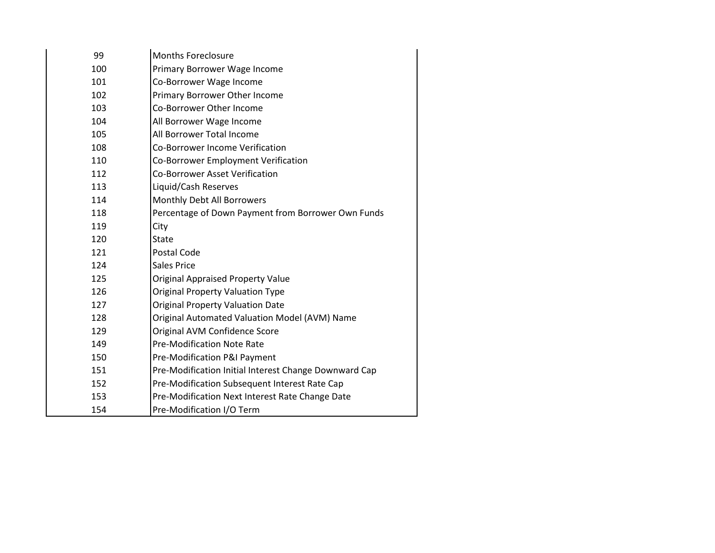| 99  | <b>Months Foreclosure</b>                             |
|-----|-------------------------------------------------------|
| 100 | Primary Borrower Wage Income                          |
| 101 | Co-Borrower Wage Income                               |
| 102 | Primary Borrower Other Income                         |
| 103 | Co-Borrower Other Income                              |
| 104 | All Borrower Wage Income                              |
| 105 | All Borrower Total Income                             |
| 108 | <b>Co-Borrower Income Verification</b>                |
| 110 | Co-Borrower Employment Verification                   |
| 112 | <b>Co-Borrower Asset Verification</b>                 |
| 113 | Liquid/Cash Reserves                                  |
| 114 | Monthly Debt All Borrowers                            |
| 118 | Percentage of Down Payment from Borrower Own Funds    |
| 119 | City                                                  |
| 120 | State                                                 |
| 121 | Postal Code                                           |
| 124 | <b>Sales Price</b>                                    |
| 125 | <b>Original Appraised Property Value</b>              |
| 126 | <b>Original Property Valuation Type</b>               |
| 127 | <b>Original Property Valuation Date</b>               |
| 128 | Original Automated Valuation Model (AVM) Name         |
| 129 | Original AVM Confidence Score                         |
| 149 | <b>Pre-Modification Note Rate</b>                     |
| 150 | Pre-Modification P&I Payment                          |
| 151 | Pre-Modification Initial Interest Change Downward Cap |
| 152 | Pre-Modification Subsequent Interest Rate Cap         |
| 153 | Pre-Modification Next Interest Rate Change Date       |
| 154 | Pre-Modification I/O Term                             |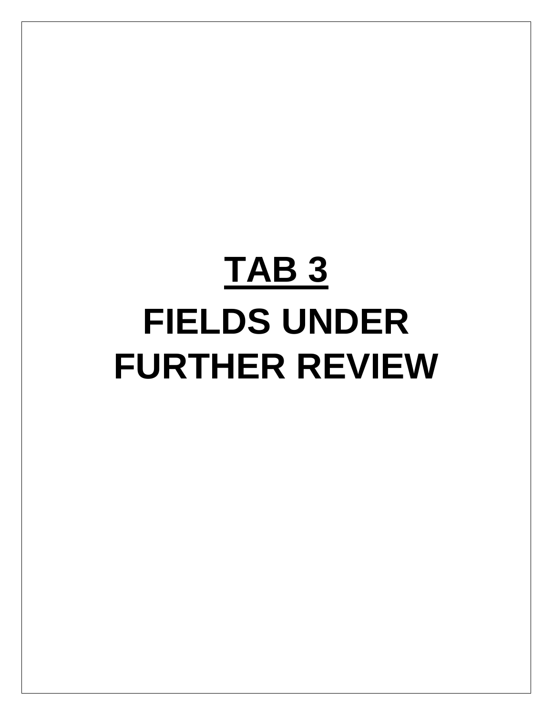# **TAB 3 FIELDS UNDER FURTHER REVIEW**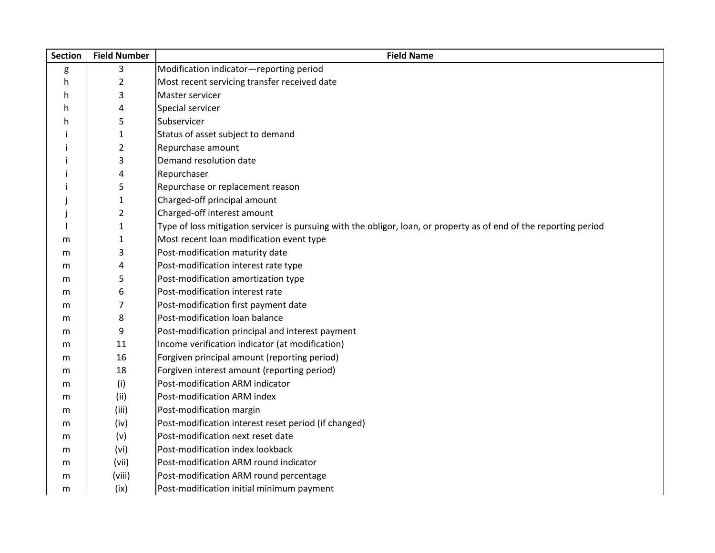| <b>Section</b> | <b>Field Number</b> | <b>Field Name</b>                                                                                                  |
|----------------|---------------------|--------------------------------------------------------------------------------------------------------------------|
| g              | 3                   | Modification indicator-reporting period                                                                            |
| h              | $\overline{2}$      | Most recent servicing transfer received date                                                                       |
| h              | 3                   | Master servicer                                                                                                    |
| h              | 4                   | Special servicer                                                                                                   |
| h              | 5                   | Subservicer                                                                                                        |
|                | $\mathbf{1}$        | Status of asset subject to demand                                                                                  |
|                | $\overline{2}$      | Repurchase amount                                                                                                  |
|                | 3                   | Demand resolution date                                                                                             |
| $\mathbf{I}$   | 4                   | Repurchaser                                                                                                        |
|                | 5                   | Repurchase or replacement reason                                                                                   |
|                | $\mathbf 1$         | Charged-off principal amount                                                                                       |
|                | $\overline{2}$      | Charged-off interest amount                                                                                        |
|                | $\mathbf 1$         | Type of loss mitigation servicer is pursuing with the obligor, loan, or property as of end of the reporting period |
| m              | $\mathbf{1}$        | Most recent loan modification event type                                                                           |
| m              | 3                   | Post-modification maturity date                                                                                    |
| m              | 4                   | Post-modification interest rate type                                                                               |
| m              | 5                   | Post-modification amortization type                                                                                |
| m              | 6                   | Post-modification interest rate                                                                                    |
| m              | 7                   | Post-modification first payment date                                                                               |
| m              | 8                   | Post-modification loan balance                                                                                     |
| m              | 9                   | Post-modification principal and interest payment                                                                   |
| m              | 11                  | Income verification indicator (at modification)                                                                    |
| m              | 16                  | Forgiven principal amount (reporting period)                                                                       |
| m              | 18                  | Forgiven interest amount (reporting period)                                                                        |
| m              | (i)                 | Post-modification ARM indicator                                                                                    |
| m              | (ii)                | Post-modification ARM index                                                                                        |
| m              | (iii)               | Post-modification margin                                                                                           |
| m              | (iv)                | Post-modification interest reset period (if changed)                                                               |
| m              | (v)                 | Post-modification next reset date                                                                                  |
| m              | (vi)                | Post-modification index lookback                                                                                   |
| m              | (vii)               | Post-modification ARM round indicator                                                                              |
| m              | (viii)              | Post-modification ARM round percentage                                                                             |
| m              | (ix)                | Post-modification initial minimum payment                                                                          |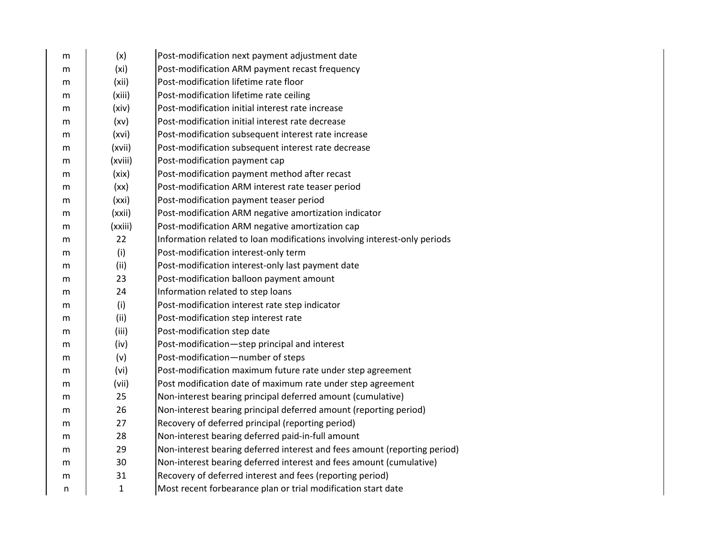| m | (x)               | Post-modification next payment adjustment date                            |
|---|-------------------|---------------------------------------------------------------------------|
| m | (x <sub>i</sub> ) | Post-modification ARM payment recast frequency                            |
| m | (xii)             | Post-modification lifetime rate floor                                     |
| m | (xiii)            | Post-modification lifetime rate ceiling                                   |
| m | (xiv)             | Post-modification initial interest rate increase                          |
| m | (xv)              | Post-modification initial interest rate decrease                          |
| m | (xvi)             | Post-modification subsequent interest rate increase                       |
| m | (xvii)            | Post-modification subsequent interest rate decrease                       |
| m | (xviii)           | Post-modification payment cap                                             |
| m | (xix)             | Post-modification payment method after recast                             |
| m | (xx)              | Post-modification ARM interest rate teaser period                         |
| m | (xxi)             | Post-modification payment teaser period                                   |
| m | (xxii)            | Post-modification ARM negative amortization indicator                     |
| m | (xxiii)           | Post-modification ARM negative amortization cap                           |
| m | 22                | Information related to loan modifications involving interest-only periods |
| m | (i)               | Post-modification interest-only term                                      |
| m | (ii)              | Post-modification interest-only last payment date                         |
| m | 23                | Post-modification balloon payment amount                                  |
| m | 24                | Information related to step loans                                         |
| m | (i)               | Post-modification interest rate step indicator                            |
| m | (ii)              | Post-modification step interest rate                                      |
| m | (iii)             | Post-modification step date                                               |
| m | (iv)              | Post-modification-step principal and interest                             |
| m | (v)               | Post-modification-number of steps                                         |
| m | (vi)              | Post-modification maximum future rate under step agreement                |
| m | (vii)             | Post modification date of maximum rate under step agreement               |
| m | 25                | Non-interest bearing principal deferred amount (cumulative)               |
| m | 26                | Non-interest bearing principal deferred amount (reporting period)         |
| m | 27                | Recovery of deferred principal (reporting period)                         |
| m | 28                | Non-interest bearing deferred paid-in-full amount                         |
| m | 29                | Non-interest bearing deferred interest and fees amount (reporting period) |
| m | 30                | Non-interest bearing deferred interest and fees amount (cumulative)       |
| m | 31                | Recovery of deferred interest and fees (reporting period)                 |
| n | $\mathbf{1}$      | Most recent forbearance plan or trial modification start date             |
|   |                   |                                                                           |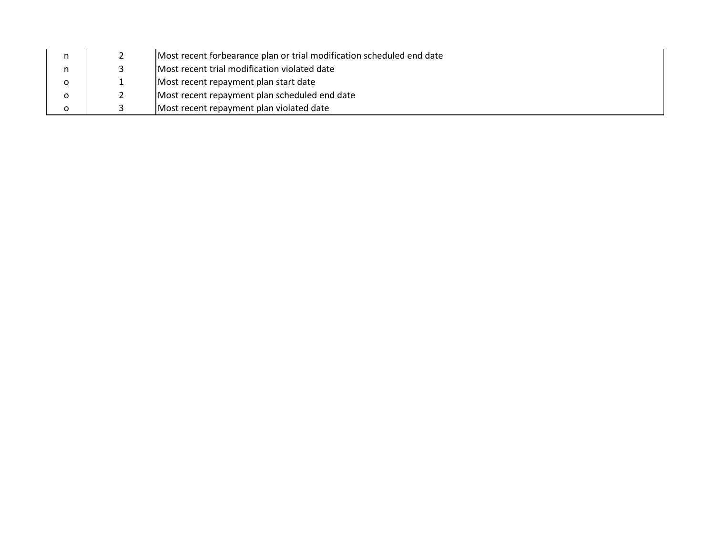|   | Most recent forbearance plan or trial modification scheduled end date |  |
|---|-----------------------------------------------------------------------|--|
|   | Most recent trial modification violated date                          |  |
| ο | Most recent repayment plan start date                                 |  |
| 0 | Most recent repayment plan scheduled end date                         |  |
| o | Most recent repayment plan violated date                              |  |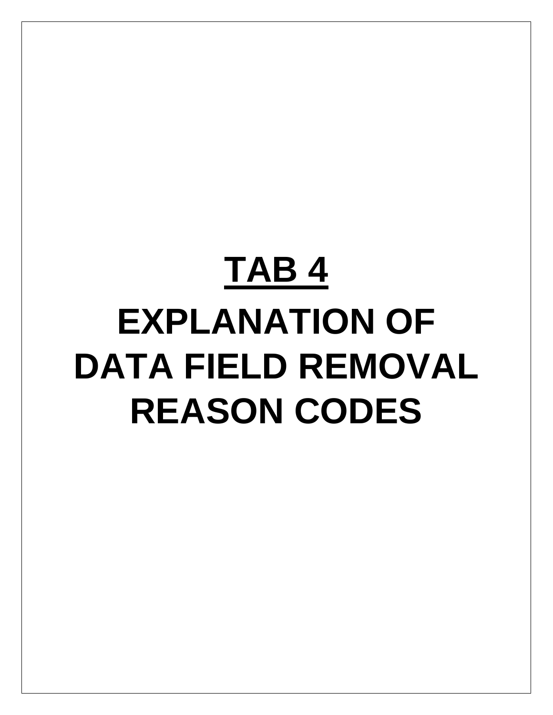# **TAB 4 EXPLANATION OF DATA FIELD REMOVAL REASON CODES**